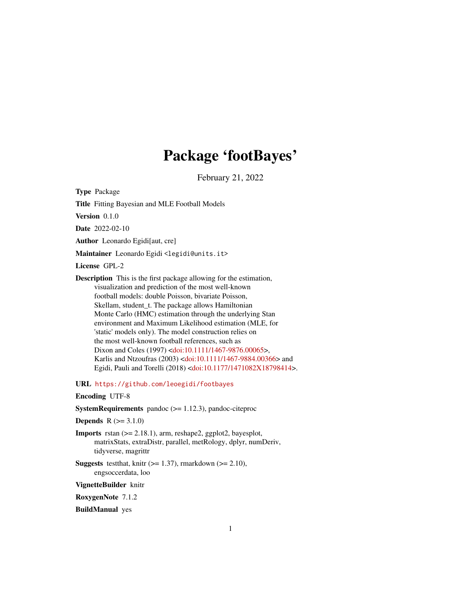# Package 'footBayes'

February 21, 2022

<span id="page-0-0"></span>Type Package

Title Fitting Bayesian and MLE Football Models

Version 0.1.0

Date 2022-02-10

Author Leonardo Egidi[aut, cre]

Maintainer Leonardo Egidi <legidi@units.it>

License GPL-2

Description This is the first package allowing for the estimation, visualization and prediction of the most well-known football models: double Poisson, bivariate Poisson, Skellam, student\_t. The package allows Hamiltonian Monte Carlo (HMC) estimation through the underlying Stan environment and Maximum Likelihood estimation (MLE, for 'static' models only). The model construction relies on the most well-known football references, such as Dixon and Coles (1997) [<doi:10.1111/1467-9876.00065>](https://doi.org/10.1111/1467-9876.00065), Karlis and Ntzoufras (2003) [<doi:10.1111/1467-9884.00366>](https://doi.org/10.1111/1467-9884.00366) and Egidi, Pauli and Torelli (2018) [<doi:10.1177/1471082X18798414>](https://doi.org/10.1177/1471082X18798414).

URL <https://github.com/leoegidi/footbayes>

# Encoding UTF-8

**SystemRequirements** pandoc  $(>= 1.12.3)$ , pandoc-citeproc

**Depends**  $R (= 3.1.0)$ 

- **Imports** rstan  $(>= 2.18.1)$ , arm, reshape2, ggplot2, bayesplot, matrixStats, extraDistr, parallel, metRology, dplyr, numDeriv, tidyverse, magrittr
- **Suggests** testthat, knitr ( $>= 1.37$ ), rmarkdown ( $>= 2.10$ ), engsoccerdata, loo

VignetteBuilder knitr

RoxygenNote 7.1.2

BuildManual yes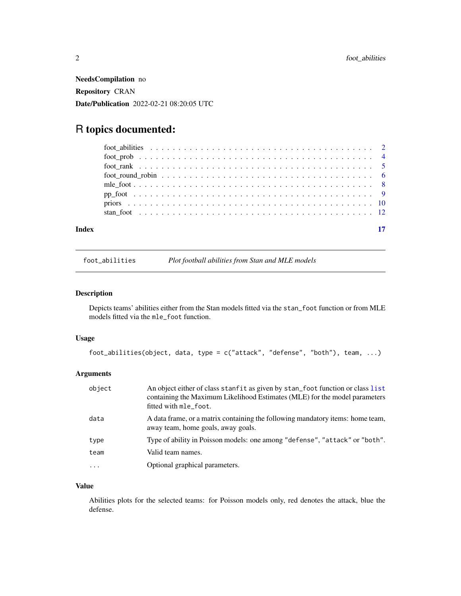<span id="page-1-0"></span>NeedsCompilation no Repository CRAN Date/Publication 2022-02-21 08:20:05 UTC

# R topics documented:

| Index |  |
|-------|--|

foot\_abilities *Plot football abilities from Stan and MLE models*

# Description

Depicts teams' abilities either from the Stan models fitted via the stan\_foot function or from MLE models fitted via the mle\_foot function.

# Usage

```
foot_abilities(object, data, type = c("attack", "defense", "both"), team, ...)
```
# Arguments

| object    | An object either of class stanfit as given by stan foot function or class list<br>containing the Maximum Likelihood Estimates (MLE) for the model parameters<br>fitted with mle_foot. |
|-----------|---------------------------------------------------------------------------------------------------------------------------------------------------------------------------------------|
| data      | A data frame, or a matrix containing the following mandatory items: home team,<br>away team, home goals, away goals.                                                                  |
| type      | Type of ability in Poisson models: one among "defense", "attack" or "both".                                                                                                           |
| team      | Valid team names.                                                                                                                                                                     |
| $\ddotsc$ | Optional graphical parameters.                                                                                                                                                        |

# Value

Abilities plots for the selected teams: for Poisson models only, red denotes the attack, blue the defense.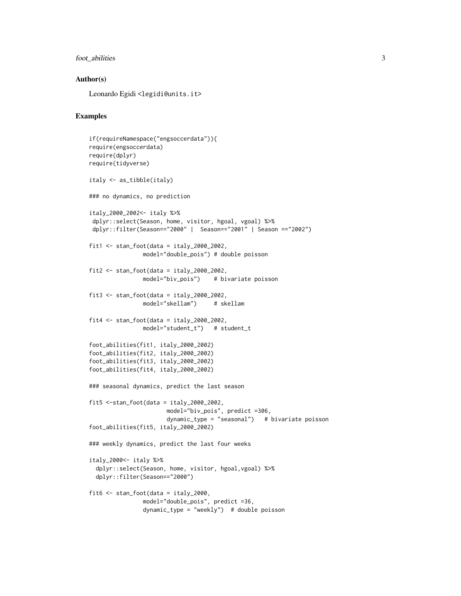# foot\_abilities 3

# Author(s)

Leonardo Egidi <legidi@units.it>

# Examples

```
if(requireNamespace("engsoccerdata")){
require(engsoccerdata)
require(dplyr)
require(tidyverse)
italy <- as_tibble(italy)
### no dynamics, no prediction
italy_2000_2002<- italy %>%
 dplyr::select(Season, home, visitor, hgoal, vgoal) %>%
 dplyr::filter(Season=="2000" | Season=="2001" | Season =="2002")
fit1 \leftarrow stan_foot(data = italy_2000_2002,model="double_pois") # double poisson
fit2 \le stan_foot(data = italy_2000_2002,
                model="biv_pois") # bivariate poisson
fit3 <- stan_foot(data = italy_2000_2002,
               model="skellam") # skellam
fit4 \le stan_foot(data = italy_2000_2002,
                model="student_t") # student_t
foot_abilities(fit1, italy_2000_2002)
foot_abilities(fit2, italy_2000_2002)
foot_abilities(fit3, italy_2000_2002)
foot_abilities(fit4, italy_2000_2002)
### seasonal dynamics, predict the last season
fit5 <-stan_foot(data = italy_2000_2002,
                       model="biv_pois", predict =306,
                       dynamic_type = "seasonal") # bivariate poisson
foot_abilities(fit5, italy_2000_2002)
### weekly dynamics, predict the last four weeks
italy_2000<- italy %>%
  dplyr::select(Season, home, visitor, hgoal,vgoal) %>%
  dplyr::filter(Season=="2000")
fit6 <- stan_foot(data = italy_2000,
                model="double_pois", predict =36,
                dynamic_type = "weekly") # double poisson
```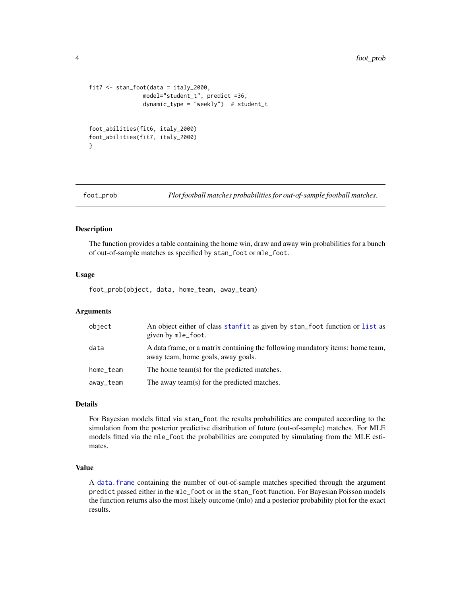```
fit7 <- stan_foot(data = italy_2000,
               model="student_t", predict =36,
                dynamic_type = "weekly") # student_t
foot_abilities(fit6, italy_2000)
foot_abilities(fit7, italy_2000)
}
```
foot\_prob *Plot football matches probabilities for out-of-sample football matches.*

# Description

The function provides a table containing the home win, draw and away win probabilities for a bunch of out-of-sample matches as specified by stan\_foot or mle\_foot.

### Usage

foot\_prob(object, data, home\_team, away\_team)

### Arguments

| object    | An object either of class stanfit as given by stan foot function or list as<br>given by mle_foot.                    |
|-----------|----------------------------------------------------------------------------------------------------------------------|
| data      | A data frame, or a matrix containing the following mandatory items: home team,<br>away team, home goals, away goals. |
| home_team | The home team(s) for the predicted matches.                                                                          |
| away_team | The away team(s) for the predicted matches.                                                                          |

# Details

For Bayesian models fitted via stan\_foot the results probabilities are computed according to the simulation from the posterior predictive distribution of future (out-of-sample) matches. For MLE models fitted via the mle\_foot the probabilities are computed by simulating from the MLE estimates.

# Value

A [data.frame](#page-0-0) containing the number of out-of-sample matches specified through the argument predict passed either in the mle\_foot or in the stan\_foot function. For Bayesian Poisson models the function returns also the most likely outcome (mlo) and a posterior probability plot for the exact results.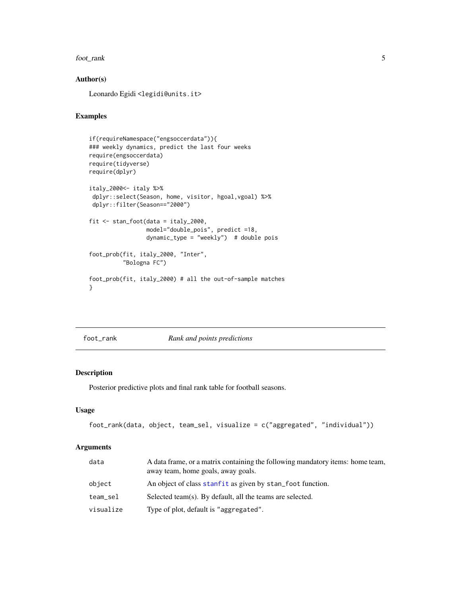#### <span id="page-4-0"></span>foot\_rank 5

# Author(s)

Leonardo Egidi <legidi@units.it>

# Examples

```
if(requireNamespace("engsoccerdata")){
### weekly dynamics, predict the last four weeks
require(engsoccerdata)
require(tidyverse)
require(dplyr)
italy_2000<- italy %>%
dplyr::select(Season, home, visitor, hgoal,vgoal) %>%
dplyr::filter(Season=="2000")
fit <- stan_foot(data = italy_2000,
                 model="double_pois", predict =18,
                 dynamic_type = "weekly") # double pois
foot_prob(fit, italy_2000, "Inter",
          "Bologna FC")
foot_prob(fit, italy_2000) # all the out-of-sample matches
}
```
foot\_rank *Rank and points predictions*

# Description

Posterior predictive plots and final rank table for football seasons.

# Usage

```
foot_rank(data, object, team_sel, visualize = c("aggregated", "individual"))
```
# Arguments

| data      | A data frame, or a matrix containing the following mandatory items: home team,<br>away team, home goals, away goals. |
|-----------|----------------------------------------------------------------------------------------------------------------------|
| object    | An object of class stanfit as given by stan foot function.                                                           |
| team_sel  | Selected team(s). By default, all the teams are selected.                                                            |
| visualize | Type of plot, default is "aggregated".                                                                               |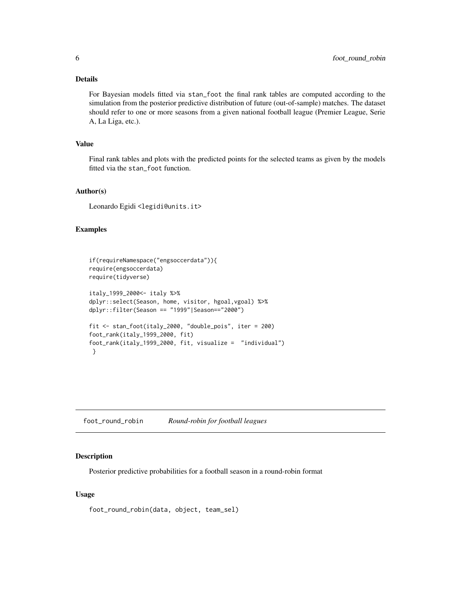# <span id="page-5-0"></span>Details

For Bayesian models fitted via stan\_foot the final rank tables are computed according to the simulation from the posterior predictive distribution of future (out-of-sample) matches. The dataset should refer to one or more seasons from a given national football league (Premier League, Serie A, La Liga, etc.).

# Value

Final rank tables and plots with the predicted points for the selected teams as given by the models fitted via the stan\_foot function.

# Author(s)

Leonardo Egidi <legidi@units.it>

# Examples

```
if(requireNamespace("engsoccerdata")){
require(engsoccerdata)
require(tidyverse)
italy_1999_2000<- italy %>%
dplyr::select(Season, home, visitor, hgoal,vgoal) %>%
dplyr::filter(Season == "1999"|Season=="2000")
fit <- stan_foot(italy_2000, "double_pois", iter = 200)
foot_rank(italy_1999_2000, fit)
foot_rank(italy_1999_2000, fit, visualize = "individual")
}
```
foot\_round\_robin *Round-robin for football leagues*

#### Description

Posterior predictive probabilities for a football season in a round-robin format

#### Usage

foot\_round\_robin(data, object, team\_sel)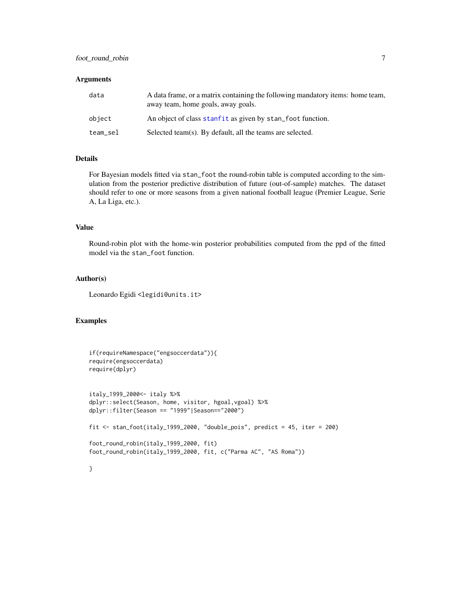# <span id="page-6-0"></span>foot\_round\_robin 7

# **Arguments**

| data     | A data frame, or a matrix containing the following mandatory items: home team,<br>away team, home goals, away goals. |
|----------|----------------------------------------------------------------------------------------------------------------------|
| object   | An object of class stanfit as given by stan foot function.                                                           |
| team_sel | Selected team(s). By default, all the teams are selected.                                                            |

# Details

For Bayesian models fitted via stan\_foot the round-robin table is computed according to the simulation from the posterior predictive distribution of future (out-of-sample) matches. The dataset should refer to one or more seasons from a given national football league (Premier League, Serie A, La Liga, etc.).

# Value

Round-robin plot with the home-win posterior probabilities computed from the ppd of the fitted model via the stan\_foot function.

# Author(s)

Leonardo Egidi <legidi@units.it>

# Examples

```
if(requireNamespace("engsoccerdata")){
require(engsoccerdata)
require(dplyr)
italy_1999_2000<- italy %>%
dplyr::select(Season, home, visitor, hgoal,vgoal) %>%
dplyr::filter(Season == "1999"|Season=="2000")
fit \le stan_foot(italy_1999_2000, "double_pois", predict = 45, iter = 200)
foot_round_robin(italy_1999_2000, fit)
foot_round_robin(italy_1999_2000, fit, c("Parma AC", "AS Roma"))
```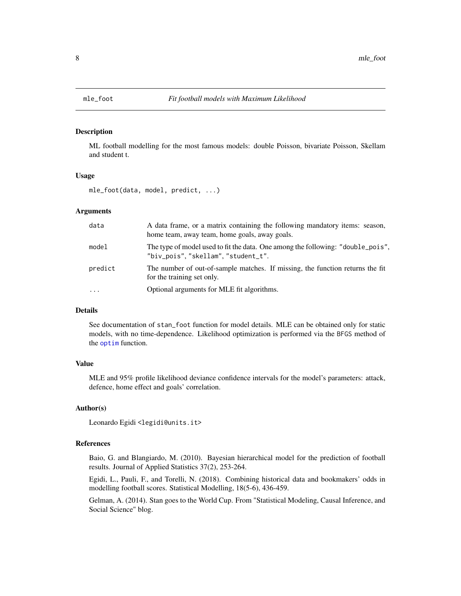# Description

ML football modelling for the most famous models: double Poisson, bivariate Poisson, Skellam and student t.

# Usage

mle\_foot(data, model, predict, ...)

# Arguments

| data     | A data frame, or a matrix containing the following mandatory items: season,<br>home team, away team, home goals, away goals. |
|----------|------------------------------------------------------------------------------------------------------------------------------|
| model    | The type of model used to fit the data. One among the following: "double_pois",<br>"biv_pois","skellam","student_t".         |
| predict  | The number of out-of-sample matches. If missing, the function returns the fit<br>for the training set only.                  |
| $\cdots$ | Optional arguments for MLE fit algorithms.                                                                                   |

# Details

See documentation of stan\_foot function for model details. MLE can be obtained only for static models, with no time-dependence. Likelihood optimization is performed via the BFGS method of the [optim](#page-0-0) function.

# Value

MLE and 95% profile likelihood deviance confidence intervals for the model's parameters: attack, defence, home effect and goals' correlation.

# Author(s)

Leonardo Egidi <legidi@units.it>

# References

Baio, G. and Blangiardo, M. (2010). Bayesian hierarchical model for the prediction of football results. Journal of Applied Statistics 37(2), 253-264.

Egidi, L., Pauli, F., and Torelli, N. (2018). Combining historical data and bookmakers' odds in modelling football scores. Statistical Modelling, 18(5-6), 436-459.

Gelman, A. (2014). Stan goes to the World Cup. From "Statistical Modeling, Causal Inference, and Social Science" blog.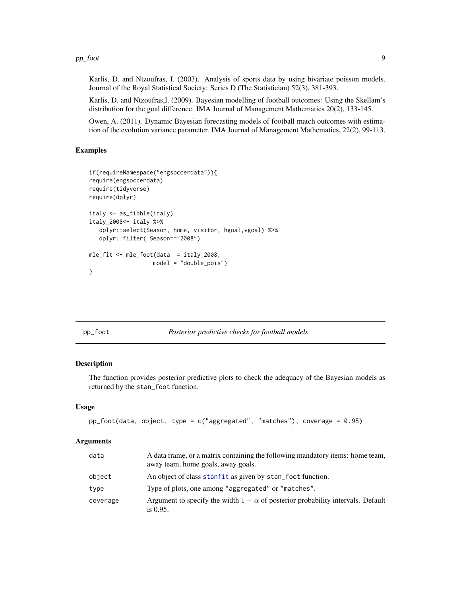#### <span id="page-8-0"></span>pp\_foot 9

Karlis, D. and Ntzoufras, I. (2003). Analysis of sports data by using bivariate poisson models. Journal of the Royal Statistical Society: Series D (The Statistician) 52(3), 381-393.

Karlis, D. and Ntzoufras,I. (2009). Bayesian modelling of football outcomes: Using the Skellam's distribution for the goal difference. IMA Journal of Management Mathematics 20(2), 133-145.

Owen, A. (2011). Dynamic Bayesian forecasting models of football match outcomes with estimation of the evolution variance parameter. IMA Journal of Management Mathematics, 22(2), 99-113.

# Examples

```
if(requireNamespace("engsoccerdata")){
require(engsoccerdata)
require(tidyverse)
require(dplyr)
italy <- as_tibble(italy)
italy_2008<- italy %>%
   dplyr::select(Season, home, visitor, hgoal,vgoal) %>%
   dplyr::filter( Season=="2008")
mle_fit <- mle_foot(data = italy_2008,
                   model = "double_pois")
}
```
## pp\_foot *Posterior predictive checks for football models*

#### Description

The function provides posterior predictive plots to check the adequacy of the Bayesian models as returned by the stan\_foot function.

# Usage

```
pp_foot(data, object, type = c("aggregated", "matches"), coverage = 0.95)
```
### Arguments

| data     | A data frame, or a matrix containing the following mandatory items: home team,<br>away team, home goals, away goals. |
|----------|----------------------------------------------------------------------------------------------------------------------|
| object   | An object of class stanfit as given by stan_foot function.                                                           |
| type     | Type of plots, one among "aggregated" or "matches".                                                                  |
| coverage | Argument to specify the width $1 - \alpha$ of posterior probability intervals. Default<br>is $0.95$ .                |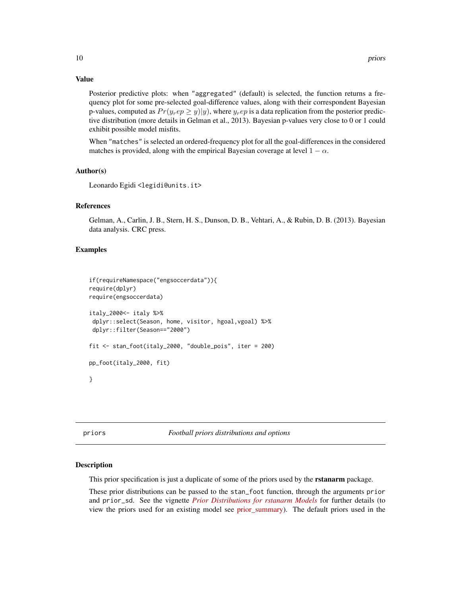# <span id="page-9-0"></span>Value

Posterior predictive plots: when "aggregated" (default) is selected, the function returns a frequency plot for some pre-selected goal-difference values, along with their correspondent Bayesian p-values, computed as  $Pr(y_r e p \ge y | y)$ , where  $y_r e p$  is a data replication from the posterior predictive distribution (more details in Gelman et al., 2013). Bayesian p-values very close to 0 or 1 could exhibit possible model misfits.

When "matches" is selected an ordered-frequency plot for all the goal-differences in the considered matches is provided, along with the empirical Bayesian coverage at level  $1 - \alpha$ .

# Author(s)

Leonardo Egidi <legidi@units.it>

# References

Gelman, A., Carlin, J. B., Stern, H. S., Dunson, D. B., Vehtari, A., & Rubin, D. B. (2013). Bayesian data analysis. CRC press.

#### Examples

```
if(requireNamespace("engsoccerdata")){
require(dplyr)
require(engsoccerdata)
italy_2000<- italy %>%
dplyr::select(Season, home, visitor, hgoal,vgoal) %>%
dplyr::filter(Season=="2000")
fit <- stan_foot(italy_2000, "double_pois", iter = 200)
pp_foot(italy_2000, fit)
}
```
priors *Football priors distributions and options*

# **Description**

This prior specification is just a duplicate of some of the priors used by the **rstanarm** package.

These prior distributions can be passed to the stan\_foot function, through the arguments prior and prior\_sd. See the vignette *[Prior Distributions for rstanarm Models](http://mc-stan.org/rstanarm/articles/priors.html)* for further details (to view the priors used for an existing model see [prior\\_summary\)](https://mc-stan.org/rstanarm/reference/prior_summary.stanreg.html). The default priors used in the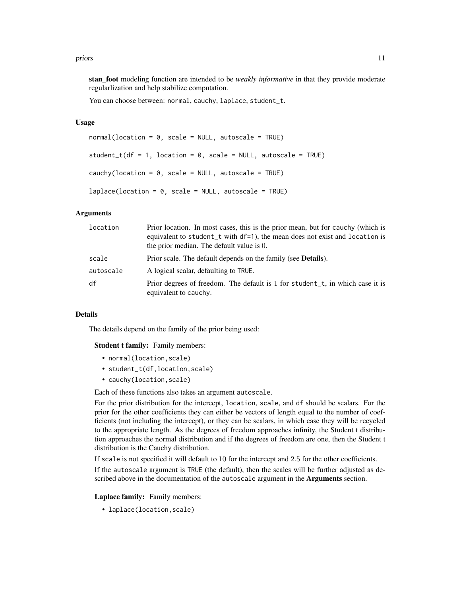#### priors and the set of the set of the set of the set of the set of the set of the set of the set of the set of the set of the set of the set of the set of the set of the set of the set of the set of the set of the set of th

stan\_foot modeling function are intended to be *weakly informative* in that they provide moderate regularlization and help stabilize computation.

You can choose between: normal, cauchy, laplace, student\_t.

# Usage

```
normal(location = 0, scale = NULL, autoscale = TRUE)student_t(df = 1, location = 0, scale = NULL, autoscale = TRUE)
cauchy(location = 0, scale = NULL, autoscale = TRUE)
laplace(location = 0, scale = NULL, autoscale = TRUE)
```
# Arguments

| location  | Prior location. In most cases, this is the prior mean, but for cauchy (which is<br>equivalent to student_t with df=1), the mean does not exist and location is<br>the prior median. The default value is 0. |
|-----------|-------------------------------------------------------------------------------------------------------------------------------------------------------------------------------------------------------------|
| scale     | Prior scale. The default depends on the family (see <b>Details</b> ).                                                                                                                                       |
| autoscale | A logical scalar, defaulting to TRUE.                                                                                                                                                                       |
| df        | Prior degrees of freedom. The default is 1 for student_t, in which case it is<br>equivalent to cauchy.                                                                                                      |

# Details

The details depend on the family of the prior being used:

#### Student t family: Family members:

- normal(location, scale)
- student\_t(df,location,scale)
- cauchy(location,scale)

Each of these functions also takes an argument autoscale.

For the prior distribution for the intercept, location, scale, and df should be scalars. For the prior for the other coefficients they can either be vectors of length equal to the number of coefficients (not including the intercept), or they can be scalars, in which case they will be recycled to the appropriate length. As the degrees of freedom approaches infinity, the Student t distribution approaches the normal distribution and if the degrees of freedom are one, then the Student t distribution is the Cauchy distribution.

If scale is not specified it will default to 10 for the intercept and 2.5 for the other coefficients.

If the autoscale argument is TRUE (the default), then the scales will be further adjusted as described above in the documentation of the autoscale argument in the Arguments section.

# Laplace family: Family members:

• laplace(location,scale)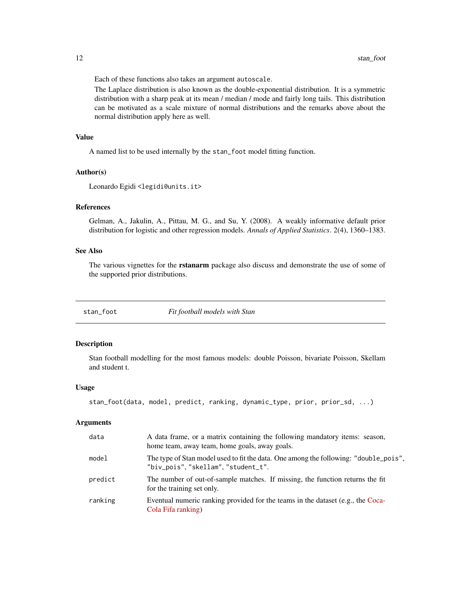<span id="page-11-0"></span>Each of these functions also takes an argument autoscale.

The Laplace distribution is also known as the double-exponential distribution. It is a symmetric distribution with a sharp peak at its mean / median / mode and fairly long tails. This distribution can be motivated as a scale mixture of normal distributions and the remarks above about the normal distribution apply here as well.

# Value

A named list to be used internally by the stan\_foot model fitting function.

# Author(s)

Leonardo Egidi <legidi@units.it>

# References

Gelman, A., Jakulin, A., Pittau, M. G., and Su, Y. (2008). A weakly informative default prior distribution for logistic and other regression models. *Annals of Applied Statistics*. 2(4), 1360–1383.

# See Also

The various vignettes for the **rstanarm** package also discuss and demonstrate the use of some of the supported prior distributions.

stan\_foot *Fit football models with Stan*

# Description

Stan football modelling for the most famous models: double Poisson, bivariate Poisson, Skellam and student t.

## Usage

```
stan_foot(data, model, predict, ranking, dynamic_type, prior, prior_sd, ...)
```
### Arguments

| data    | A data frame, or a matrix containing the following mandatory items: season,<br>home team, away team, home goals, away goals. |
|---------|------------------------------------------------------------------------------------------------------------------------------|
| model   | The type of Stan model used to fit the data. One among the following: "double_pois",<br>"biv_pois", "skellam", "student_t".  |
| predict | The number of out-of-sample matches. If missing, the function returns the fit<br>for the training set only.                  |
| ranking | Eventual numeric ranking provided for the teams in the dataset (e.g., the Coca-<br>Cola Fifa ranking)                        |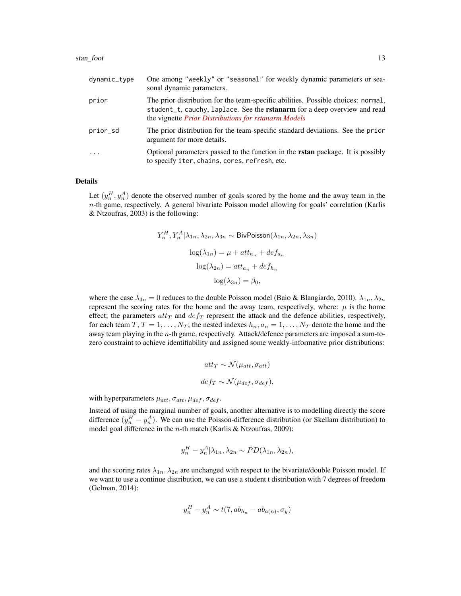#### stan\_foot 13

| dynamic_type | One among "weekly" or "seasonal" for weekly dynamic parameters or sea-<br>sonal dynamic parameters.                                                                                                                                  |
|--------------|--------------------------------------------------------------------------------------------------------------------------------------------------------------------------------------------------------------------------------------|
| prior        | The prior distribution for the team-specific abilities. Possible choices: normal,<br>student_t, cauchy, laplace. See the rstanarm for a deep overview and read<br>the vignette <i>Prior Distributions</i> for <i>rstanarm Models</i> |
| prior_sd     | The prior distribution for the team-specific standard deviations. See the prior<br>argument for more details.                                                                                                                        |
| $\ddots$     | Optional parameters passed to the function in the <b>rstan</b> package. It is possibly<br>to specify iter, chains, cores, refresh, etc.                                                                                              |

# Details

Let  $(y_n^H, y_n^A)$  denote the observed number of goals scored by the home and the away team in the  $n$ -th game, respectively. A general bivariate Poisson model allowing for goals' correlation (Karlis & Ntzoufras, 2003) is the following:

$$
Y_n^H, Y_n^A | \lambda_{1n}, \lambda_{2n}, \lambda_{3n} \sim \text{BivPoisson}(\lambda_{1n}, \lambda_{2n}, \lambda_{3n})
$$

$$
\log(\lambda_{1n}) = \mu + att_{h_n} + def_{a_n}
$$

$$
\log(\lambda_{2n}) = att_{a_n} + def_{h_n}
$$

$$
\log(\lambda_{3n}) = \beta_0,
$$

where the case  $\lambda_{3n} = 0$  reduces to the double Poisson model (Baio & Blangiardo, 2010).  $\lambda_{1n}, \lambda_{2n}$ represent the scoring rates for the home and the away team, respectively, where:  $\mu$  is the home effect; the parameters  $attr_T$  and  $def_T$  represent the attack and the defence abilities, respectively, for each team  $T, T = 1, \ldots, N_T$ ; the nested indexes  $h_n, a_n = 1, \ldots, N_T$  denote the home and the away team playing in the n-th game, respectively. Attack/defence parameters are imposed a sum-tozero constraint to achieve identifiability and assigned some weakly-informative prior distributions:

$$
att_T \sim \mathcal{N}(\mu_{att}, \sigma_{att})
$$

$$
def_T \sim \mathcal{N}(\mu_{def}, \sigma_{def}),
$$

with hyperparameters  $\mu_{att}, \sigma_{att}, \mu_{def}, \sigma_{def}$ .

Instead of using the marginal number of goals, another alternative is to modelling directly the score difference  $(y_n^H - y_n^A)$ . We can use the Poisson-difference distribution (or Skellam distribution) to model goal difference in the *n*-th match (Karlis & Ntzoufras, 2009):

$$
y_n^H - y_n^A | \lambda_{1n}, \lambda_{2n} \sim PD(\lambda_{1n}, \lambda_{2n}),
$$

and the scoring rates  $\lambda_{1n}$ ,  $\lambda_{2n}$  are unchanged with respect to the bivariate/double Poisson model. If we want to use a continue distribution, we can use a student t distribution with 7 degrees of freedom (Gelman, 2014):

$$
y_n^H - y_n^A \sim t(7, ab_{h_n} - ab_{a(n)}, \sigma_y)
$$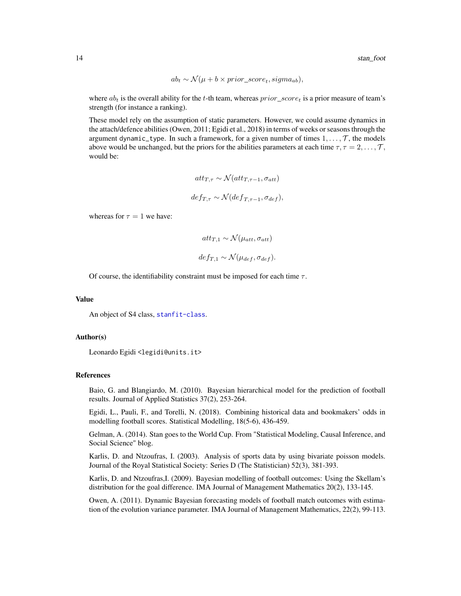$$
ab_t \sim \mathcal{N}(\mu + b \times prior\_score_t, sigma_{ab}),
$$

where  $ab_t$  is the overall ability for the t-th team, whereas  $prior\_score_t$  is a prior measure of team's strength (for instance a ranking).

These model rely on the assumption of static parameters. However, we could assume dynamics in the attach/defence abilities (Owen, 2011; Egidi et al., 2018) in terms of weeks or seasons through the argument dynamic\_type. In such a framework, for a given number of times  $1, \ldots, \mathcal{T}$ , the models above would be unchanged, but the priors for the abilities parameters at each time  $\tau, \tau = 2, \ldots, \mathcal{T}$ , would be:

$$
att_{T,\tau} \sim \mathcal{N}(att_{T,\tau-1}, \sigma_{att})
$$
  

$$
def_{T,\tau} \sim \mathcal{N}(def_{T,\tau-1}, \sigma_{def}),
$$

whereas for  $\tau = 1$  we have:

$$
att_{T,1} \sim \mathcal{N}(\mu_{att}, \sigma_{att})
$$

$$
def_{T,1} \sim \mathcal{N}(\mu_{def}, \sigma_{def}).
$$

Of course, the identifiability constraint must be imposed for each time  $\tau$ .

#### Value

An object of S4 class, [stanfit-class](#page-0-0).

#### Author(s)

Leonardo Egidi <legidi@units.it>

#### References

Baio, G. and Blangiardo, M. (2010). Bayesian hierarchical model for the prediction of football results. Journal of Applied Statistics 37(2), 253-264.

Egidi, L., Pauli, F., and Torelli, N. (2018). Combining historical data and bookmakers' odds in modelling football scores. Statistical Modelling, 18(5-6), 436-459.

Gelman, A. (2014). Stan goes to the World Cup. From "Statistical Modeling, Causal Inference, and Social Science" blog.

Karlis, D. and Ntzoufras, I. (2003). Analysis of sports data by using bivariate poisson models. Journal of the Royal Statistical Society: Series D (The Statistician) 52(3), 381-393.

Karlis, D. and Ntzoufras,I. (2009). Bayesian modelling of football outcomes: Using the Skellam's distribution for the goal difference. IMA Journal of Management Mathematics 20(2), 133-145.

Owen, A. (2011). Dynamic Bayesian forecasting models of football match outcomes with estimation of the evolution variance parameter. IMA Journal of Management Mathematics, 22(2), 99-113.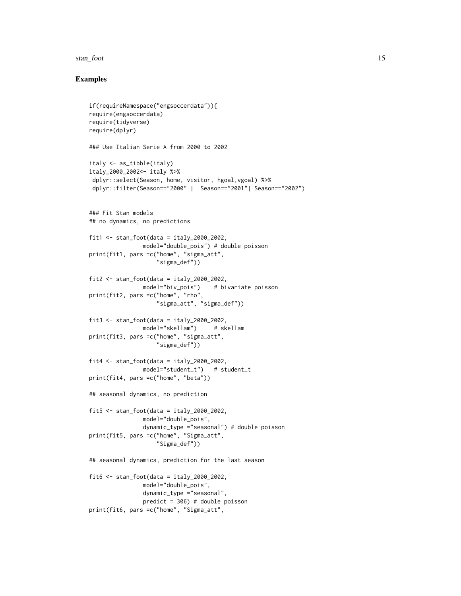#### stan\_foot 15

# Examples

```
if(requireNamespace("engsoccerdata")){
require(engsoccerdata)
require(tidyverse)
require(dplyr)
### Use Italian Serie A from 2000 to 2002
italy <- as_tibble(italy)
italy_2000_2002<- italy %>%
dplyr::select(Season, home, visitor, hgoal,vgoal) %>%
dplyr::filter(Season=="2000" | Season=="2001"| Season=="2002")
### Fit Stan models
## no dynamics, no predictions
fit1 <- stan_foot(data = italy_2000_2002,
               model="double_pois") # double poisson
print(fit1, pars =c("home", "sigma_att",
                    "sigma_def"))
fit2 \leftarrow stan_foot(data = italy_2000_2002,model="biv_pois") # bivariate poisson
print(fit2, pars =c("home", "rho",
                    "sigma_att", "sigma_def"))
fits < - stan_foot(data = italy_2000_2002model="skellam") # skellam
print(fit3, pars =c("home", "sigma_att",
                    "sigma_def"))
fit4 \le stan_foot(data = italy_2000_2002,
                model="student_t") # student_t
print(fit4, pars =c("home", "beta"))
## seasonal dynamics, no prediction
fit5 \le stan_foot(data = italy_2000_2002,
               model="double_pois",
                dynamic_type ="seasonal") # double poisson
print(fit5, pars =c("home", "Sigma_att",
                    "Sigma_def"))
## seasonal dynamics, prediction for the last season
fit6 \leq stan_foot(data = italy_2000_2002,
               model="double_pois",
                dynamic_type ="seasonal",
                predict = 306) # double poisson
print(fit6, pars =c("home", "Sigma_att",
```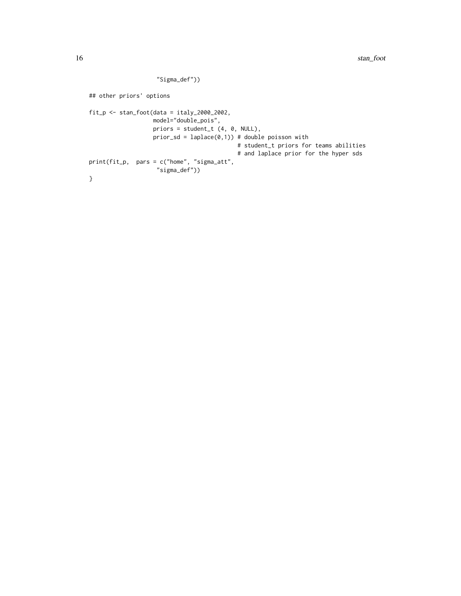```
"Sigma_def"))
## other priors' options
fit_p <- stan_foot(data = italy_2000_2002,
                   model="double_pois",
                   priors = student_t (4, 0, NULL),
                   prior\_sd = laplace(0,1)) # double poisson with
                                            # student_t priors for teams abilities
                                            # and laplace prior for the hyper sds
print(fit_p, pars = c("home", "sigma_att",
                    "sigma_def"))
}
```